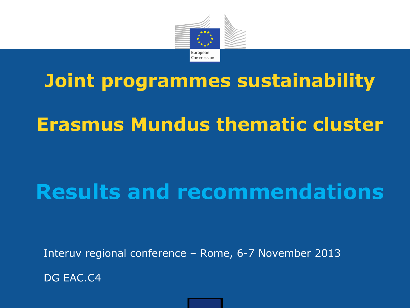

# **Joint programmes sustainability**

## **Erasmus Mundus thematic cluster**

# **Results and recommendations**

Interuv regional conference – Rome, 6-7 November 2013

DG EAC.C4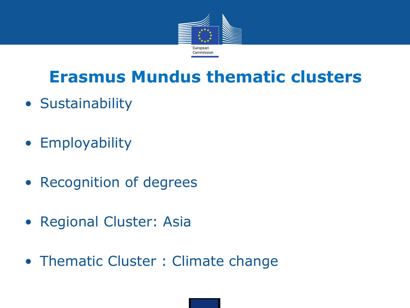

## **Erasmus Mundus thematic clusters**

- Sustainability
- Employability
- Recognition of degrees
- Regional Cluster: Asia
- Thematic Cluster : Climate change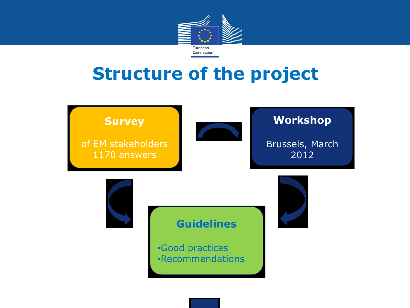

## **Structure of the project**

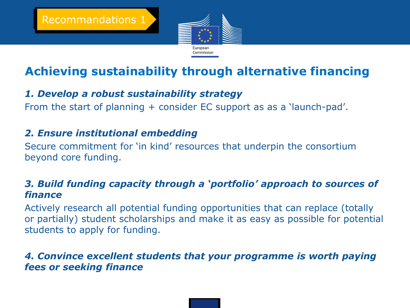

### **Achieving sustainability through alternative financing**

#### *1. Develop a robust sustainability strategy*

From the start of planning + consider EC support as as a 'launch-pad'.

#### *2. Ensure institutional embedding*

Secure commitment for 'in kind' resources that underpin the consortium beyond core funding.

#### *3. Build funding capacity through a 'portfolio' approach to sources of finance*

Actively research all potential funding opportunities that can replace (totally or partially) student scholarships and make it as easy as possible for potential students to apply for funding.

#### *4. Convince excellent students that your programme is worth paying fees or seeking finance*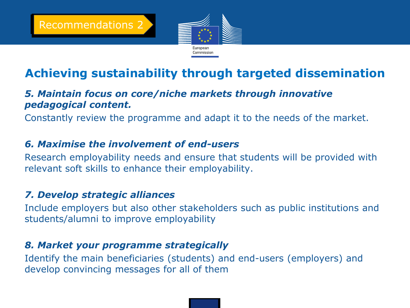

### **Achieving sustainability through targeted dissemination**

#### *5. Maintain focus on core/niche markets through innovative pedagogical content.*

Constantly review the programme and adapt it to the needs of the market.

#### *6. Maximise the involvement of end-users*

Research employability needs and ensure that students will be provided with relevant soft skills to enhance their employability.

#### *7. Develop strategic alliances*

Include employers but also other stakeholders such as public institutions and students/alumni to improve employability

#### *8. Market your programme strategically*

Identify the main beneficiaries (students) and end-users (employers) and develop convincing messages for all of them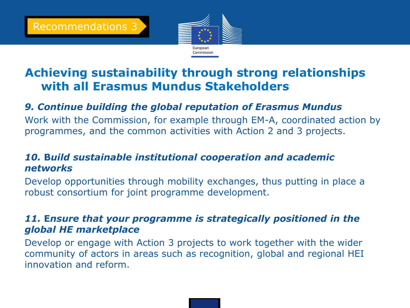

### **Achieving sustainability through strong relationships with all Erasmus Mundus Stakeholders**

#### *9. Continue building the global reputation of Erasmus Mundus*

Work with the Commission, for example through EM-A, coordinated action by programmes, and the common activities with Action 2 and 3 projects.

#### *10.* **B***uild sustainable institutional cooperation and academic networks*

Develop opportunities through mobility exchanges, thus putting in place a robust consortium for joint programme development.

#### *11.* **E***nsure that your programme is strategically positioned in the global HE marketplace*

Develop or engage with Action 3 projects to work together with the wider community of actors in areas such as recognition, global and regional HEI innovation and reform.